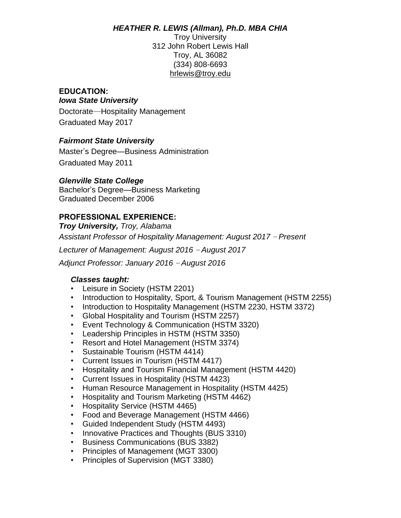#### *HEATHER R. LEWIS (Allman), Ph.D. MBA CHIA*

Troy University 312 John Robert Lewis Hall Troy, AL 36082 (334) 808-6693 [hrlewis@troy.edu](mailto:hrlewis@troy.edu)

#### **EDUCATION:** *Iowa State University*

Doctorate—Hospitality Management Graduated May 2017

# *Fairmont State University*

Master's Degree—Business Administration Graduated May 2011

#### *Glenville State College*

Bachelor's Degree—Business Marketing Graduated December 2006

# **PROFESSIONAL EXPERIENCE:**

*Troy University, Troy, Alabama*

*Assistant Professor of Hospitality Management: August 2017* – *Present*

*Lecturer of Management: August 2016* – *August 2017*

*Adjunct Professor: January 2016* – *August 2016*

#### *Classes taught:*

- Leisure in Society (HSTM 2201)
- Introduction to Hospitality, Sport, & Tourism Management (HSTM 2255)
- Introduction to Hospitality Management (HSTM 2230, HSTM 3372)
- Global Hospitality and Tourism (HSTM 2257)
- Event Technology & Communication (HSTM 3320)
- Leadership Principles in HSTM (HSTM 3350)
- Resort and Hotel Management (HSTM 3374)
- Sustainable Tourism (HSTM 4414)
- Current Issues in Tourism (HSTM 4417)
- Hospitality and Tourism Financial Management (HSTM 4420)
- Current Issues in Hospitality (HSTM 4423)
- Human Resource Management in Hospitality (HSTM 4425)
- Hospitality and Tourism Marketing (HSTM 4462)
- Hospitality Service (HSTM 4465)
- Food and Beverage Management (HSTM 4466)
- Guided Independent Study (HSTM 4493)
- Innovative Practices and Thoughts (BUS 3310)
- Business Communications (BUS 3382)
- Principles of Management (MGT 3300)
- Principles of Supervision (MGT 3380)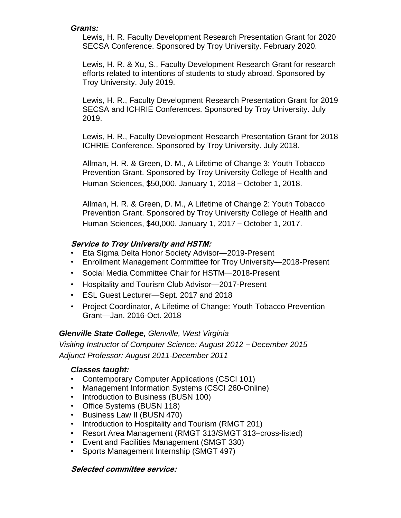#### *Grants:*

Lewis, H. R. Faculty Development Research Presentation Grant for 2020 SECSA Conference. Sponsored by Troy University. February 2020.

Lewis, H. R. & Xu, S., Faculty Development Research Grant for research efforts related to intentions of students to study abroad. Sponsored by Troy University. July 2019.

Lewis, H. R., Faculty Development Research Presentation Grant for 2019 SECSA and ICHRIE Conferences. Sponsored by Troy University. July 2019.

Lewis, H. R., Faculty Development Research Presentation Grant for 2018 ICHRIE Conference. Sponsored by Troy University. July 2018.

Allman, H. R. & Green, D. M., A Lifetime of Change 3: Youth Tobacco Prevention Grant. Sponsored by Troy University College of Health and Human Sciences, \$50,000. January 1, 2018 – October 1, 2018.

Allman, H. R. & Green, D. M., A Lifetime of Change 2: Youth Tobacco Prevention Grant. Sponsored by Troy University College of Health and Human Sciences, \$40,000. January 1, 2017 – October 1, 2017.

# **Service to Troy University and HSTM:**

- Eta Sigma Delta Honor Society Advisor—2019-Present
- Enrollment Management Committee for Troy University—2018-Present
- Social Media Committee Chair for HSTM—2018-Present
- Hospitality and Tourism Club Advisor—2017-Present
- ESL Guest Lecturer—Sept. 2017 and 2018
- Project Coordinator, A Lifetime of Change: Youth Tobacco Prevention Grant—Jan. 2016-Oct. 2018

# *Glenville State College, Glenville, West Virginia*

*Visiting Instructor of Computer Science: August 2012* – *December 2015 Adjunct Professor: August 2011-December 2011*

#### *Classes taught:*

- Contemporary Computer Applications (CSCI 101)
- Management Information Systems (CSCI 260-Online)
- Introduction to Business (BUSN 100)
- Office Systems (BUSN 118)
- Business Law II (BUSN 470)
- Introduction to Hospitality and Tourism (RMGT 201)
- Resort Area Management (RMGT 313/SMGT 313–cross-listed)
- Event and Facilities Management (SMGT 330)
- Sports Management Internship (SMGT 497)

#### **Selected committee service:**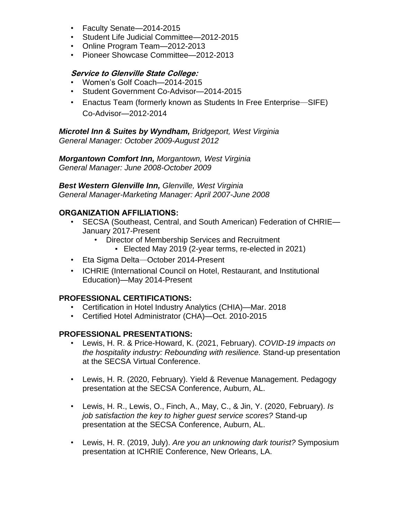- Faculty Senate—2014-2015
- Student Life Judicial Committee—2012-2015
- Online Program Team—2012-2013
- Pioneer Showcase Committee—2012-2013

#### **Service to Glenville State College:**

- Women's Golf Coach—2014-2015
- Student Government Co-Advisor—2014-2015
- Enactus Team (formerly known as Students In Free Enterprise—SIFE) Co-Advisor—2012-2014

*Microtel Inn & Suites by Wyndham, Bridgeport, West Virginia General Manager: October 2009-August 2012*

*Morgantown Comfort Inn, Morgantown, West Virginia General Manager: June 2008-October 2009*

*Best Western Glenville Inn, Glenville, West Virginia General Manager-Marketing Manager: April 2007-June 2008*

# **ORGANIZATION AFFILIATIONS:**

- SECSA (Southeast, Central, and South American) Federation of CHRIE— January 2017-Present
	- Director of Membership Services and Recruitment
		- Elected May 2019 (2-year terms, re-elected in 2021)
- Eta Sigma Delta—October 2014-Present
- ICHRIE (International Council on Hotel, Restaurant, and Institutional Education)—May 2014-Present

# **PROFESSIONAL CERTIFICATIONS:**

- Certification in Hotel Industry Analytics (CHIA)—Mar. 2018
- Certified Hotel Administrator (CHA)—Oct. 2010-2015

# **PROFESSIONAL PRESENTATIONS:**

- Lewis, H. R. & Price-Howard, K. (2021, February). *COVID-19 impacts on the hospitality industry: Rebounding with resilience.* Stand-up presentation at the SECSA Virtual Conference.
- Lewis, H. R. (2020, February). Yield & Revenue Management. Pedagogy presentation at the SECSA Conference, Auburn, AL.
- Lewis, H. R., Lewis, O., Finch, A., May, C., & Jin, Y. (2020, February). *Is job satisfaction the key to higher guest service scores?* Stand-up presentation at the SECSA Conference, Auburn, AL.
- Lewis, H. R. (2019, July). *Are you an unknowing dark tourist?* Symposium presentation at ICHRIE Conference, New Orleans, LA.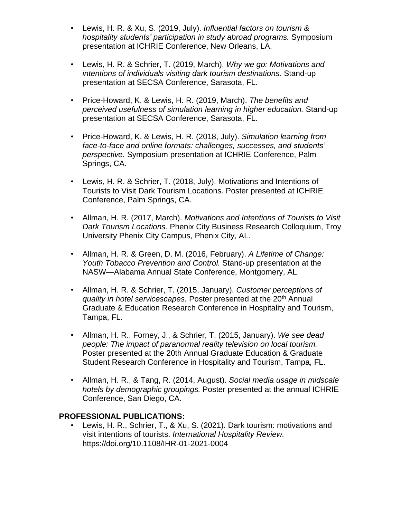- Lewis, H. R. & Xu, S. (2019, July). *Influential factors on tourism & hospitality students' participation in study abroad programs.* Symposium presentation at ICHRIE Conference, New Orleans, LA.
- Lewis, H. R. & Schrier, T. (2019, March). *Why we go: Motivations and intentions of individuals visiting dark tourism destinations.* Stand-up presentation at SECSA Conference, Sarasota, FL.
- Price-Howard, K. & Lewis, H. R. (2019, March). *The benefits and perceived usefulness of simulation learning in higher education.* Stand-up presentation at SECSA Conference, Sarasota, FL.
- Price-Howard, K. & Lewis, H. R. (2018, July). *Simulation learning from face-to-face and online formats: challenges, successes, and students' perspective.* Symposium presentation at ICHRIE Conference, Palm Springs, CA.
- Lewis, H. R. & Schrier, T. (2018, July). Motivations and Intentions of Tourists to Visit Dark Tourism Locations. Poster presented at ICHRIE Conference, Palm Springs, CA.
- Allman, H. R. (2017, March). *Motivations and Intentions of Tourists to Visit Dark Tourism Locations.* Phenix City Business Research Colloquium, Troy University Phenix City Campus, Phenix City, AL.
- Allman, H. R. & Green, D. M. (2016, February). *A Lifetime of Change: Youth Tobacco Prevention and Control.* Stand-up presentation at the NASW—Alabama Annual State Conference, Montgomery, AL.
- Allman, H. R. & Schrier, T. (2015, January). *Customer perceptions of quality in hotel servicescapes.* Poster presented at the 20th Annual Graduate & Education Research Conference in Hospitality and Tourism, Tampa, FL.
- Allman, H. R., Forney, J., & Schrier, T. (2015, January). *We see dead people: The impact of paranormal reality television on local tourism.* Poster presented at the 20th Annual Graduate Education & Graduate Student Research Conference in Hospitality and Tourism, Tampa, FL.
- Allman, H. R., & Tang, R. (2014, August). *Social media usage in midscale hotels by demographic groupings.* Poster presented at the annual ICHRIE Conference, San Diego, CA.

# **PROFESSIONAL PUBLICATIONS:**

• Lewis, H. R., Schrier, T., & Xu, S. (2021). Dark tourism: motivations and visit intentions of tourists. *International Hospitality Review.* https://doi.org/10.1108/IHR-01-2021-0004